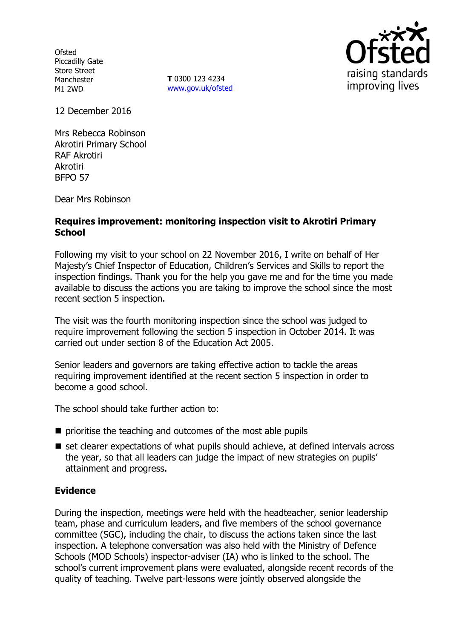**Ofsted** Piccadilly Gate Store Street Manchester M1 2WD

**T** 0300 123 4234 [www.gov.uk/ofsted](http://www.gov.uk/ofsted)



12 December 2016

Mrs Rebecca Robinson Akrotiri Primary School RAF Akrotiri Akrotiri BFPO 57

Dear Mrs Robinson

#### **Requires improvement: monitoring inspection visit to Akrotiri Primary School**

Following my visit to your school on 22 November 2016, I write on behalf of Her Majesty's Chief Inspector of Education, Children's Services and Skills to report the inspection findings. Thank you for the help you gave me and for the time you made available to discuss the actions you are taking to improve the school since the most recent section 5 inspection.

The visit was the fourth monitoring inspection since the school was judged to require improvement following the section 5 inspection in October 2014. It was carried out under section 8 of the Education Act 2005.

Senior leaders and governors are taking effective action to tackle the areas requiring improvement identified at the recent section 5 inspection in order to become a good school.

The school should take further action to:

- $\blacksquare$  prioritise the teaching and outcomes of the most able pupils
- set clearer expectations of what pupils should achieve, at defined intervals across the year, so that all leaders can judge the impact of new strategies on pupils' attainment and progress.

### **Evidence**

During the inspection, meetings were held with the headteacher, senior leadership team, phase and curriculum leaders, and five members of the school governance committee (SGC), including the chair, to discuss the actions taken since the last inspection. A telephone conversation was also held with the Ministry of Defence Schools (MOD Schools) inspector-adviser (IA) who is linked to the school. The school's current improvement plans were evaluated, alongside recent records of the quality of teaching. Twelve part-lessons were jointly observed alongside the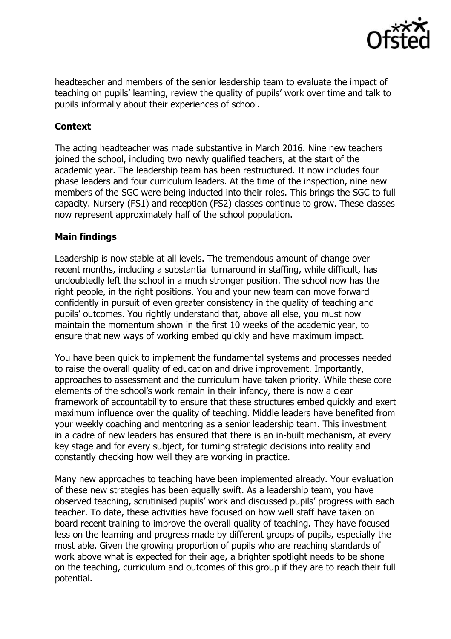

headteacher and members of the senior leadership team to evaluate the impact of teaching on pupils' learning, review the quality of pupils' work over time and talk to pupils informally about their experiences of school.

# **Context**

The acting headteacher was made substantive in March 2016. Nine new teachers joined the school, including two newly qualified teachers, at the start of the academic year. The leadership team has been restructured. It now includes four phase leaders and four curriculum leaders. At the time of the inspection, nine new members of the SGC were being inducted into their roles. This brings the SGC to full capacity. Nursery (FS1) and reception (FS2) classes continue to grow. These classes now represent approximately half of the school population.

### **Main findings**

Leadership is now stable at all levels. The tremendous amount of change over recent months, including a substantial turnaround in staffing, while difficult, has undoubtedly left the school in a much stronger position. The school now has the right people, in the right positions. You and your new team can move forward confidently in pursuit of even greater consistency in the quality of teaching and pupils' outcomes. You rightly understand that, above all else, you must now maintain the momentum shown in the first 10 weeks of the academic year, to ensure that new ways of working embed quickly and have maximum impact.

You have been quick to implement the fundamental systems and processes needed to raise the overall quality of education and drive improvement. Importantly, approaches to assessment and the curriculum have taken priority. While these core elements of the school's work remain in their infancy, there is now a clear framework of accountability to ensure that these structures embed quickly and exert maximum influence over the quality of teaching. Middle leaders have benefited from your weekly coaching and mentoring as a senior leadership team. This investment in a cadre of new leaders has ensured that there is an in-built mechanism, at every key stage and for every subject, for turning strategic decisions into reality and constantly checking how well they are working in practice.

Many new approaches to teaching have been implemented already. Your evaluation of these new strategies has been equally swift. As a leadership team, you have observed teaching, scrutinised pupils' work and discussed pupils' progress with each teacher. To date, these activities have focused on how well staff have taken on board recent training to improve the overall quality of teaching. They have focused less on the learning and progress made by different groups of pupils, especially the most able. Given the growing proportion of pupils who are reaching standards of work above what is expected for their age, a brighter spotlight needs to be shone on the teaching, curriculum and outcomes of this group if they are to reach their full potential.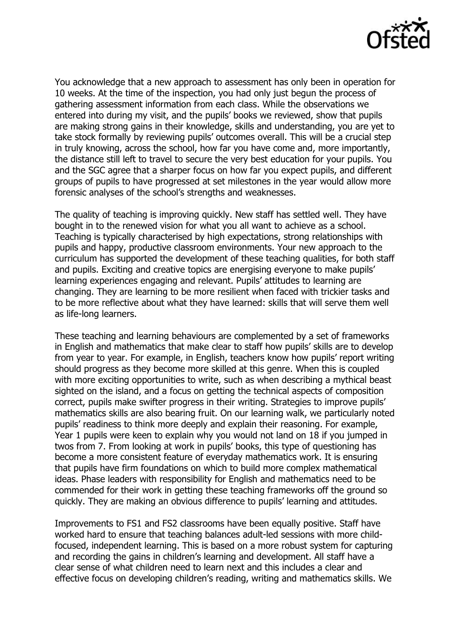

You acknowledge that a new approach to assessment has only been in operation for 10 weeks. At the time of the inspection, you had only just begun the process of gathering assessment information from each class. While the observations we entered into during my visit, and the pupils' books we reviewed, show that pupils are making strong gains in their knowledge, skills and understanding, you are yet to take stock formally by reviewing pupils' outcomes overall. This will be a crucial step in truly knowing, across the school, how far you have come and, more importantly, the distance still left to travel to secure the very best education for your pupils. You and the SGC agree that a sharper focus on how far you expect pupils, and different groups of pupils to have progressed at set milestones in the year would allow more forensic analyses of the school's strengths and weaknesses.

The quality of teaching is improving quickly. New staff has settled well. They have bought in to the renewed vision for what you all want to achieve as a school. Teaching is typically characterised by high expectations, strong relationships with pupils and happy, productive classroom environments. Your new approach to the curriculum has supported the development of these teaching qualities, for both staff and pupils. Exciting and creative topics are energising everyone to make pupils' learning experiences engaging and relevant. Pupils' attitudes to learning are changing. They are learning to be more resilient when faced with trickier tasks and to be more reflective about what they have learned: skills that will serve them well as life-long learners.

These teaching and learning behaviours are complemented by a set of frameworks in English and mathematics that make clear to staff how pupils' skills are to develop from year to year. For example, in English, teachers know how pupils' report writing should progress as they become more skilled at this genre. When this is coupled with more exciting opportunities to write, such as when describing a mythical beast sighted on the island, and a focus on getting the technical aspects of composition correct, pupils make swifter progress in their writing. Strategies to improve pupils' mathematics skills are also bearing fruit. On our learning walk, we particularly noted pupils' readiness to think more deeply and explain their reasoning. For example, Year 1 pupils were keen to explain why you would not land on 18 if you jumped in twos from 7. From looking at work in pupils' books, this type of questioning has become a more consistent feature of everyday mathematics work. It is ensuring that pupils have firm foundations on which to build more complex mathematical ideas. Phase leaders with responsibility for English and mathematics need to be commended for their work in getting these teaching frameworks off the ground so quickly. They are making an obvious difference to pupils' learning and attitudes.

Improvements to FS1 and FS2 classrooms have been equally positive. Staff have worked hard to ensure that teaching balances adult-led sessions with more childfocused, independent learning. This is based on a more robust system for capturing and recording the gains in children's learning and development. All staff have a clear sense of what children need to learn next and this includes a clear and effective focus on developing children's reading, writing and mathematics skills. We